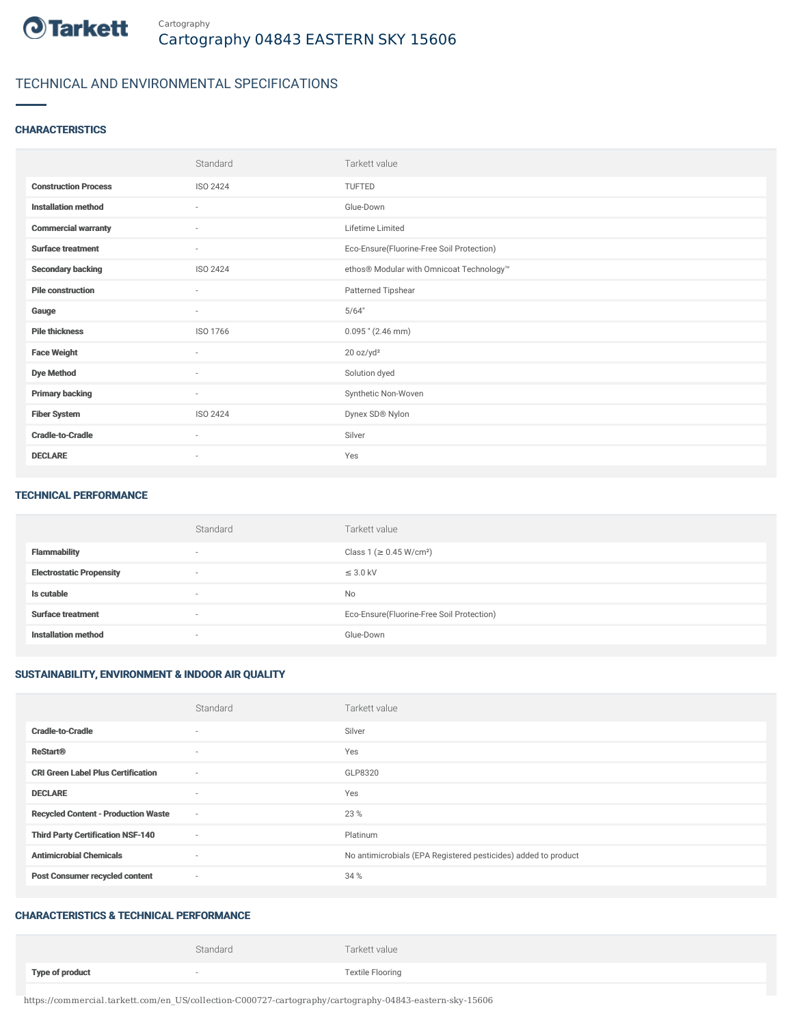

## TECHNICAL AND ENVIRONMENTAL SPECIFICATIONS

#### **CHARACTERISTICS**

|                             | Standard                 | Tarkett value                             |
|-----------------------------|--------------------------|-------------------------------------------|
| <b>Construction Process</b> | <b>ISO 2424</b>          | <b>TUFTED</b>                             |
| <b>Installation method</b>  | ÷                        | Glue-Down                                 |
| <b>Commercial warranty</b>  | $\sim$                   | Lifetime Limited                          |
| <b>Surface treatment</b>    | $\sim$                   | Eco-Ensure(Fluorine-Free Soil Protection) |
| <b>Secondary backing</b>    | ISO 2424                 | ethos® Modular with Omnicoat Technology™  |
| <b>Pile construction</b>    | $\sim$                   | Patterned Tipshear                        |
| Gauge                       | $\sim$                   | 5/64"                                     |
| <b>Pile thickness</b>       | ISO 1766                 | $0.095$ " (2.46 mm)                       |
| <b>Face Weight</b>          | ٠                        | 20 oz/yd <sup>2</sup>                     |
| <b>Dye Method</b>           | $\sim$                   | Solution dyed                             |
| <b>Primary backing</b>      | $\sim$                   | Synthetic Non-Woven                       |
| <b>Fiber System</b>         | <b>ISO 2424</b>          | Dynex SD® Nylon                           |
| <b>Cradle-to-Cradle</b>     | $\sim$                   | Silver                                    |
| <b>DECLARE</b>              | $\overline{\phantom{a}}$ | Yes                                       |

#### TECHNICAL PERFORMANCE

|                                 | Standard | Tarkett value                             |
|---------------------------------|----------|-------------------------------------------|
| <b>Flammability</b>             | $\sim$   | Class 1 ( $\geq$ 0.45 W/cm <sup>2</sup> ) |
| <b>Electrostatic Propensity</b> | $\sim$   | $\leq$ 3.0 kV                             |
| Is cutable                      | $\sim$   | <b>No</b>                                 |
| <b>Surface treatment</b>        | $\sim$   | Eco-Ensure(Fluorine-Free Soil Protection) |
| <b>Installation method</b>      | $\sim$   | Glue-Down                                 |

### SUSTAINABILITY, ENVIRONMENT & INDOOR AIR QUALITY

|                                            | Standard                 | Tarkett value                                                  |
|--------------------------------------------|--------------------------|----------------------------------------------------------------|
| <b>Cradle-to-Cradle</b>                    | ٠                        | Silver                                                         |
| <b>ReStart®</b>                            | $\sim$                   | Yes                                                            |
| <b>CRI Green Label Plus Certification</b>  | $\overline{\phantom{a}}$ | GLP8320                                                        |
| <b>DECLARE</b>                             | $\sim$                   | Yes                                                            |
| <b>Recycled Content - Production Waste</b> | $\sim$                   | 23 %                                                           |
| <b>Third Party Certification NSF-140</b>   | $\sim$                   | Platinum                                                       |
| <b>Antimicrobial Chemicals</b>             | $\sim$                   | No antimicrobials (EPA Registered pesticides) added to product |
| <b>Post Consumer recycled content</b>      | ٠                        | 34 %                                                           |

#### CHARACTERISTICS & TECHNICAL PERFORMANCE

|                        | Standard | Tarkett value           |
|------------------------|----------|-------------------------|
| <b>Type of product</b> |          | <b>Textile Flooring</b> |